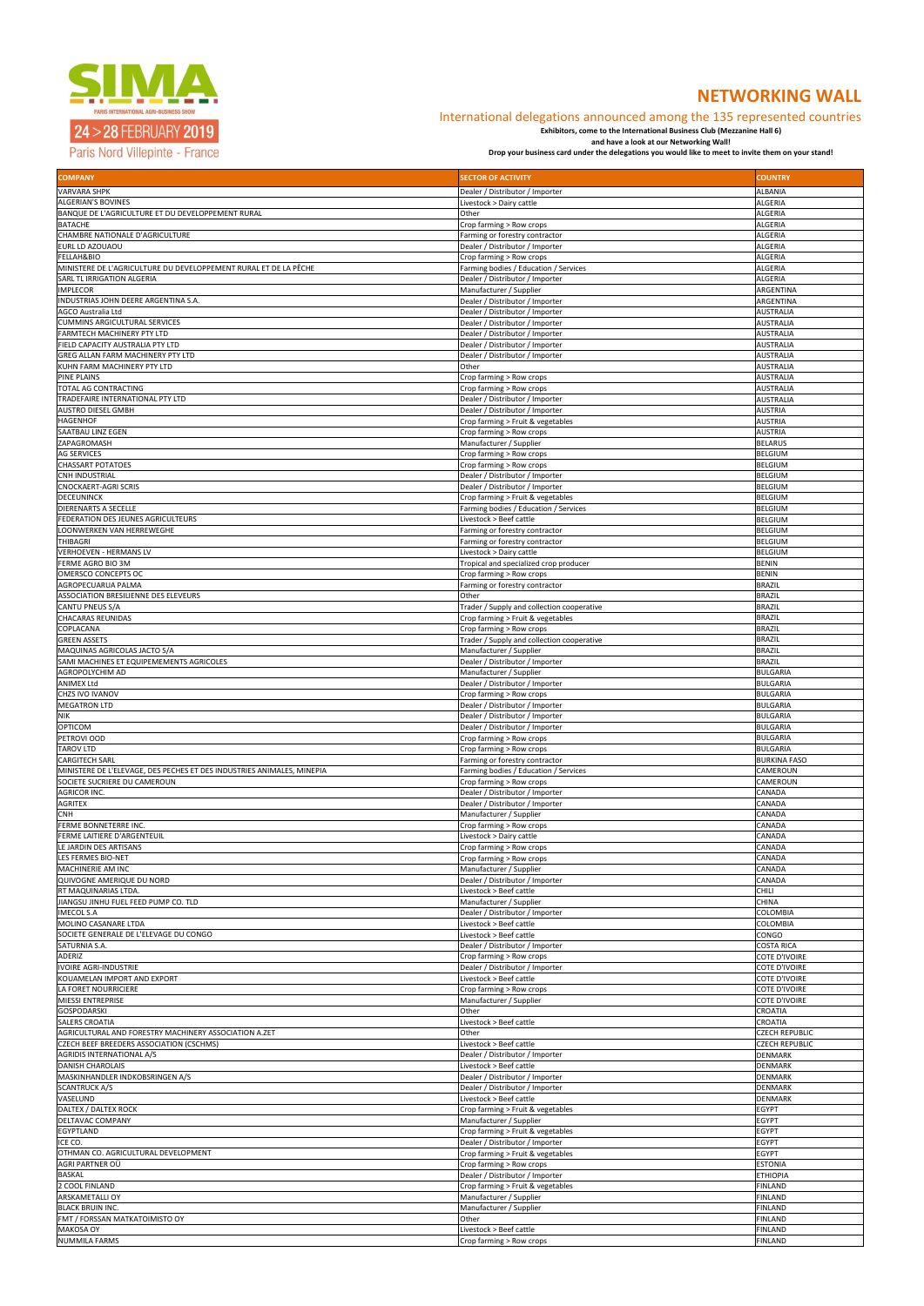

Paris Nord Villepinte - France

| <b>COMPANY</b>                                                                                  | <b>SECTOR OF ACTIVITY</b>                                               | <b>COUNTRY</b>                        |
|-------------------------------------------------------------------------------------------------|-------------------------------------------------------------------------|---------------------------------------|
| <b>VARVARA SHPK</b>                                                                             | Dealer / Distributor / Importer                                         | <b>ALBANIA</b>                        |
| <b>ALGERIAN'S BOVINES</b><br>BANQUE DE L'AGRICULTURE ET DU DEVELOPPEMENT RURAL                  | Livestock > Dairy cattle<br>Other                                       | <b>ALGERIA</b><br><b>ALGERIA</b>      |
| <b>BATACHE</b>                                                                                  | Crop farming > Row crops                                                | <b>ALGERIA</b>                        |
| CHAMBRE NATIONALE D'AGRICULTURE                                                                 | Farming or forestry contractor                                          | <b>ALGERIA</b>                        |
| EURL LD AZOUAOU<br>FELLAH&BIO                                                                   | Dealer / Distributor / Importer<br>Crop farming > Row crops             | <b>ALGERIA</b><br><b>ALGERIA</b>      |
| MINISTERE DE L'AGRICULTURE DU DEVELOPPEMENT RURAL ET DE LA PÊCHE                                | Farming bodies / Education / Services                                   | <b>ALGERIA</b>                        |
| SARL TL IRRIGATION ALGERIA                                                                      | Dealer / Distributor / Importer                                         | <b>ALGERIA</b>                        |
| <b>IMPLECOR</b>                                                                                 | Manufacturer / Supplier                                                 | ARGENTINA                             |
| INDUSTRIAS JOHN DEERE ARGENTINA S.A.<br>AGCO Australia Ltd                                      | Dealer / Distributor / Importer<br>Dealer / Distributor / Importer      | ARGENTINA<br><b>AUSTRALIA</b>         |
| CUMMINS ARGICULTURAL SERVICES                                                                   | Dealer / Distributor / Importer                                         | <b>AUSTRALIA</b>                      |
| FARMTECH MACHINERY PTY LTD                                                                      | Dealer / Distributor / Importer                                         | <b>AUSTRALIA</b>                      |
| FIELD CAPACITY AUSTRALIA PTY LTD<br>GREG ALLAN FARM MACHINERY PTY LTD                           | Dealer / Distributor / Importer<br>Dealer / Distributor / Importer      | <b>AUSTRALIA</b><br><b>AUSTRALIA</b>  |
| KUHN FARM MACHINERY PTY LTD                                                                     | Other                                                                   | <b>AUSTRALIA</b>                      |
| PINE PLAINS                                                                                     | Crop farming > Row crops                                                | <b>AUSTRALIA</b>                      |
| TOTAL AG CONTRACTING<br>TRADEFAIRE INTERNATIONAL PTY LTD                                        | Crop farming > Row crops<br>Dealer / Distributor / Importer             | <b>AUSTRALIA</b><br><b>AUSTRALIA</b>  |
| AUSTRO DIESEL GMBH                                                                              | Dealer / Distributor / Importer                                         | <b>AUSTRIA</b>                        |
| HAGENHOF                                                                                        | Crop farming > Fruit & vegetables                                       | <b>AUSTRIA</b>                        |
| SAATBAU LINZ EGEN<br>ZAPAGROMASH                                                                | Crop farming > Row crops<br>Manufacturer / Supplier                     | <b>AUSTRIA</b><br><b>BELARUS</b>      |
| <b>AG SERVICES</b>                                                                              | Crop farming > Row crops                                                | <b>BELGIUM</b>                        |
| <b>CHASSART POTATOES</b>                                                                        | Crop farming > Row crops                                                | <b>BELGIUM</b>                        |
| CNH INDUSTRIAL<br>CNOCKAERT-AGRI SCRIS                                                          | Dealer / Distributor / Importer<br>Dealer / Distributor / Importer      | <b>BELGIUM</b><br><b>BELGIUM</b>      |
| <b>DECEUNINCK</b>                                                                               | Crop farming > Fruit & vegetables                                       | <b>BELGIUM</b>                        |
| <b>DIERENARTS A SECELLE</b>                                                                     | Farming bodies / Education / Services                                   | <b>BELGIUM</b>                        |
| FEDERATION DES JEUNES AGRICULTEURS                                                              | Livestock > Beef cattle                                                 | <b>BELGIUM</b>                        |
| LOONWERKEN VAN HERREWEGHE<br>THIBAGRI                                                           | Farming or forestry contractor<br>Farming or forestry contractor        | <b>BELGIUM</b><br><b>BELGIUM</b>      |
| <b>VERHOEVEN - HERMANS LV</b>                                                                   | Livestock > Dairy cattle                                                | <b>BELGIUM</b>                        |
| FERME AGRO BIO 3M                                                                               | Tropical and specialized crop producer                                  | <b>BENIN</b>                          |
| OMERSCO CONCEPTS OC<br>AGROPECUARUA PALMA                                                       | Crop farming > Row crops<br>Farming or forestry contractor              | <b>BENIN</b><br><b>BRAZIL</b>         |
| ASSOCIATION BRESILIENNE DES ELEVEURS                                                            | Other                                                                   | <b>BRAZIL</b>                         |
| CANTU PNEUS S/A                                                                                 | Trader / Supply and collection cooperative                              | <b>BRAZIL</b>                         |
| CHACARAS REUNIDAS<br>COPLACANA                                                                  | Crop farming > Fruit & vegetables                                       | <b>BRAZIL</b><br><b>BRAZIL</b>        |
| <b>GREEN ASSETS</b>                                                                             | Crop farming > Row crops<br>Trader / Supply and collection cooperative  | <b>BRAZIL</b>                         |
| MAQUINAS AGRICOLAS JACTO S/A                                                                    | Manufacturer / Supplier                                                 | <b>BRAZIL</b>                         |
| SAMI MACHINES ET EQUIPEMEMENTS AGRICOLES                                                        | Dealer / Distributor / Importer                                         | BRAZIL                                |
| AGROPOLYCHIM AD<br><b>ANIMEX Ltd</b>                                                            | Manufacturer / Supplier<br>Dealer / Distributor / Importer              | <b>BULGARIA</b><br><b>BULGARIA</b>    |
| CHZS IVO IVANOV                                                                                 | Crop farming > Row crops                                                | <b>BULGARIA</b>                       |
| <b>MEGATRON LTD</b>                                                                             | Dealer / Distributor / Importer                                         | <b>BULGARIA</b>                       |
| <b>NIK</b><br><b>OPTICOM</b>                                                                    | Dealer / Distributor / Importer<br>Dealer / Distributor / Importer      | <b>BULGARIA</b><br><b>BULGARIA</b>    |
| PETROVI OOD                                                                                     | Crop farming > Row crops                                                | <b>BULGARIA</b>                       |
| <b>TAROV LTD</b>                                                                                | Crop farming > Row crops                                                | <b>BULGARIA</b>                       |
| <b>CARGITECH SARL</b><br>MINISTERE DE L'ELEVAGE, DES PECHES ET DES INDUSTRIES ANIMALES, MINEPIA | Farming or forestry contractor<br>Farming bodies / Education / Services | <b>BURKINA FASO</b><br>CAMEROUN       |
| SOCIETE SUCRIERE DU CAMEROUN                                                                    | Crop farming > Row crops                                                | CAMEROUN                              |
| AGRICOR INC.                                                                                    | Dealer / Distributor / Importer                                         | CANADA                                |
| AGRITEX<br>CNH                                                                                  | Dealer / Distributor / Importer<br>Manufacturer / Supplier              | CANADA<br>CANADA                      |
| FERME BONNETERRE INC.                                                                           | Crop farming > Row crops                                                | CANADA                                |
| FERME LAITIERE D'ARGENTEUIL                                                                     | Livestock > Dairy cattle                                                | <b>CANADA</b>                         |
| LE JARDIN DES ARTISANS                                                                          | Crop farming > Row crops                                                | CANADA                                |
| LES FERMES BIO-NET<br>MACHINERIE AM INC                                                         | Crop farming > Row crops<br>Manufacturer / Supplier                     | CANADA<br><b>CANADA</b>               |
| QUIVOGNE AMERIQUE DU NORD                                                                       | Dealer / Distributor / Importer                                         | <b>CANADA</b>                         |
| RT MAQUINARIAS LTDA.                                                                            | Livestock > Beef cattle                                                 | <b>CHILI</b>                          |
| JIANGSU JINHU FUEL FEED PUMP CO. TLD<br><b>IMECOL S.A</b>                                       | Manufacturer / Supplier<br>Dealer / Distributor / Importer              | <b>CHINA</b><br>COLOMBIA              |
| MOLINO CASANARE LTDA                                                                            | Livestock > Beef cattle                                                 | COLOMBIA                              |
| SOCIETE GENERALE DE L'ELEVAGE DU CONGO                                                          | Livestock > Beef cattle                                                 | CONGO                                 |
| SATURNIA S.A.<br>ADERIZ                                                                         | Dealer / Distributor / Importer<br>Crop farming > Row crops             | <b>COSTA RICA</b><br>COTE D'IVOIRE    |
| <b>VOIRE AGRI-INDUSTRIE</b>                                                                     | Dealer / Distributor / Importer                                         | <b>COTE D'IVOIRE</b>                  |
| KOUAMELAN IMPORT AND EXPORT                                                                     | Livestock > Beef cattle                                                 | <b>COTE D'IVOIRE</b>                  |
| LA FORET NOURRICIERE<br>MIESSI ENTREPRISE                                                       | Crop farming > Row crops<br>Manufacturer / Supplier                     | COTE D'IVOIRE<br><b>COTE D'IVOIRE</b> |
| <b>GOSPODARSKI</b>                                                                              | Other                                                                   | CROATIA                               |
| <b>SALERS CROATIA</b>                                                                           | Livestock > Beef cattle                                                 | <b>CROATIA</b>                        |
| AGRICULTURAL AND FORESTRY MACHINERY ASSOCIATION A.ZET                                           | Other                                                                   | <b>CZECH REPUBLIC</b>                 |
| <b>CZECH BEEF BREEDERS ASSOCIATION (CSCHMS)</b><br><b>AGRIDIS INTERNATIONAL A/S</b>             | Livestock > Beef cattle<br>Dealer / Distributor / Importer              | <b>CZECH REPUBLIC</b><br>DENMARK      |
| <b>DANISH CHAROLAIS</b>                                                                         | Livestock > Beef cattle                                                 | <b>DENMARK</b>                        |
| MASKINHANDLER INDKOBSRINGEN A/S                                                                 | Dealer / Distributor / Importer                                         | <b>DENMARK</b>                        |
| <b>SCANTRUCK A/S</b><br>VASELUND                                                                | Dealer / Distributor / Importer<br>Livestock > Beef cattle              | <b>DENMARK</b><br><b>DENMARK</b>      |
| <b>DALTEX / DALTEX ROCK</b>                                                                     | Crop farming > Fruit & vegetables                                       | <b>EGYPT</b>                          |
| DELTAVAC COMPANY                                                                                | Manufacturer / Supplier                                                 | <b>EGYPT</b>                          |
| EGYPTLAND<br>ICE CO.                                                                            | Crop farming > Fruit & vegetables<br>Dealer / Distributor / Importer    | <b>EGYPT</b><br><b>EGYPT</b>          |
| OTHMAN CO. AGRICULTURAL DEVELOPMENT                                                             | Crop farming > Fruit & vegetables                                       | <b>EGYPT</b>                          |
| AGRI PARTNER OÜ                                                                                 | Crop farming > Row crops                                                | <b>ESTONIA</b>                        |
| <b>BASKAL</b>                                                                                   | Dealer / Distributor / Importer                                         | <b>ETHIOPIA</b>                       |
| 2 COOL FINLAND<br><b>ARSKAMETALLI OY</b>                                                        | Crop farming > Fruit & vegetables<br>Manufacturer / Supplier            | <b>FINLAND</b><br><b>FINLAND</b>      |
| <b>BLACK BRUIN INC.</b>                                                                         | Manufacturer / Supplier                                                 | <b>FINLAND</b>                        |
| FMT / FORSSAN MATKATOIMISTO OY                                                                  | Other                                                                   | <b>FINLAND</b>                        |
| <b>MAKOSA OY</b><br><b>NUMMILA FARMS</b>                                                        | Livestock > Beef cattle<br>Crop farming > Row crops                     | <b>FINLAND</b><br><b>FINLAND</b>      |

# **NETWORKING WALL**

### International delegations announced among the 135 represented countries

**Exhibitors, come to the International Business Club (Mezzanine Hall 6)** 

**and have a look at our Networking Wall! Drop your business card under the delegations you would like to meet to invite them on your stand!**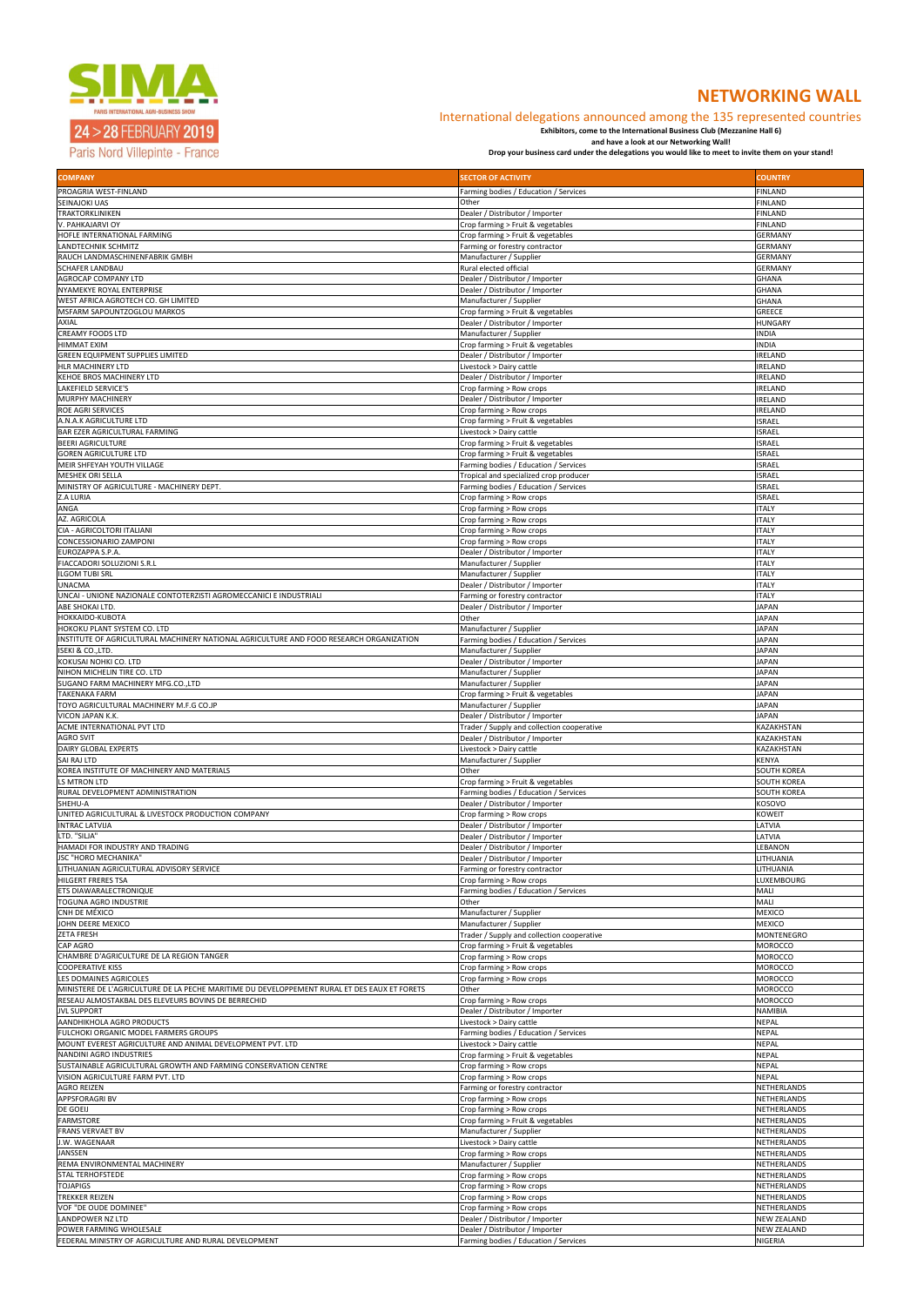

# 24 > 28 FEBRUARY 2019

Paris Nord Villepinte - France

# **NETWORKING WALL**

### International delegations announced among the 135 represented countries

**Exhibitors, come to the International Business Club (Mezzanine Hall 6)** 

**and have a look at our Networking Wall!** 

**Drop your business card under the delegations you would like to meet to invite them on your stand!**

| <b>COMPANY</b>                                                                               | <b>SECTOR OF ACTIVITY</b>                                              | <b>COUNTRY</b>                           |
|----------------------------------------------------------------------------------------------|------------------------------------------------------------------------|------------------------------------------|
| PROAGRIA WEST-FINLAND                                                                        | Farming bodies / Education / Services                                  | <b>FINLAND</b>                           |
| SEINAJOKI UAS                                                                                | Other                                                                  | <b>FINLAND</b>                           |
| TRAKTORKLINIKEN                                                                              | Dealer / Distributor / Importer                                        | <b>FINLAND</b>                           |
| V. PAHKAJARVI OY<br>HOFLE INTERNATIONAL FARMING                                              | Crop farming > Fruit & vegetables<br>Crop farming > Fruit & vegetables | <b>FINLAND</b><br><b>GERMANY</b>         |
| LANDTECHNIK SCHMITZ                                                                          | Farming or forestry contractor                                         | <b>GERMANY</b>                           |
| RAUCH LANDMASCHINENFABRIK GMBH                                                               | Manufacturer / Supplier                                                | <b>GERMANY</b>                           |
| <b>SCHAFER LANDBAU</b>                                                                       | Rural elected official                                                 | <b>GERMANY</b>                           |
| <b>AGROCAP COMPANY LTD</b>                                                                   | Dealer / Distributor / Importer                                        | <b>GHANA</b>                             |
| <b>NYAMEKYE ROYAL ENTERPRISE</b><br><b>WEST AFRICA AGROTECH CO. GH LIMITED</b>               | Dealer / Distributor / Importer<br>Manufacturer / Supplier             | <b>GHANA</b><br><b>GHANA</b>             |
| <b>MSFARM SAPOUNTZOGLOU MARKOS</b>                                                           | Crop farming > Fruit & vegetables                                      | <b>GREECE</b>                            |
| AXIAL                                                                                        | Dealer / Distributor / Importer                                        | <b>HUNGARY</b>                           |
| <b>CREAMY FOODS LTD</b>                                                                      | Manufacturer / Supplier                                                | <b>INDIA</b>                             |
| <b>HIMMAT EXIM</b>                                                                           | Crop farming > Fruit & vegetables                                      | <b>INDIA</b>                             |
| <b>GREEN EQUIPMENT SUPPLIES LIMITED</b><br><b>HLR MACHINERY LTD</b>                          | Dealer / Distributor / Importer<br>Livestock > Dairy cattle            | <b>IRELAND</b><br><b>IRELAND</b>         |
| KEHOE BROS MACHINERY LTD                                                                     | Dealer / Distributor / Importer                                        | <b>IRELAND</b>                           |
| <b>LAKEFIELD SERVICE'S</b>                                                                   | Crop farming > Row crops                                               | <b>IRELAND</b>                           |
| <b>MURPHY MACHINERY</b>                                                                      | Dealer / Distributor / Importer                                        | <b>IRELAND</b>                           |
| <b>ROE AGRI SERVICES</b>                                                                     | Crop farming > Row crops                                               | <b>IRELAND</b>                           |
| A.N.A.K AGRICULTURE LTD<br><b>BAR EZER AGRICULTURAL FARMING</b>                              | Crop farming > Fruit & vegetables<br>Livestock > Dairy cattle          | <b>ISRAEL</b><br><b>ISRAEL</b>           |
| <b>BEERI AGRICULTURE</b>                                                                     | Crop farming > Fruit & vegetables                                      | <b>ISRAEL</b>                            |
| <b>GOREN AGRICULTURE LTD</b>                                                                 | Crop farming > Fruit & vegetables                                      | <b>ISRAEL</b>                            |
| MEIR SHFEYAH YOUTH VILLAGE                                                                   | Farming bodies / Education / Services                                  | <b>ISRAEL</b>                            |
| <b>MESHEK ORI SELLA</b>                                                                      | Tropical and specialized crop producer                                 | <b>ISRAEL</b>                            |
| MINISTRY OF AGRICULTURE - MACHINERY DEPT.<br>Z.A LURIA                                       | Farming bodies / Education / Services<br>Crop farming > Row crops      | <b>ISRAEL</b><br><b>ISRAEL</b>           |
| ANGA                                                                                         | Crop farming > Row crops                                               | <b>ITALY</b>                             |
| AZ. AGRICOLA                                                                                 | Crop farming > Row crops                                               | <b>ITALY</b>                             |
| CIA - AGRICOLTORI ITALIANI                                                                   | Crop farming > Row crops                                               | <b>ITALY</b>                             |
| CONCESSIONARIO ZAMPONI                                                                       | Crop farming > Row crops                                               | <b>ITALY</b>                             |
| EUROZAPPA S.P.A.<br>FIACCADORI SOLUZIONI S.R.L                                               | Dealer / Distributor / Importer<br>Manufacturer / Supplier             | <b>ITALY</b><br><b>ITALY</b>             |
| <b>ILGOM TUBI SRL</b>                                                                        | Manufacturer / Supplier                                                | <b>ITALY</b>                             |
| <b>UNACMA</b>                                                                                | Dealer / Distributor / Importer                                        | <b>ITALY</b>                             |
| UNCAI - UNIONE NAZIONALE CONTOTERZISTI AGROMECCANICI E INDUSTRIALI                           | Farming or forestry contractor                                         | <b>ITALY</b>                             |
| ABE SHOKAI LTD.                                                                              | Dealer / Distributor / Importer                                        | <b>JAPAN</b>                             |
| HOKKAIDO-KUBOTA<br>HOKOKU PLANT SYSTEM CO. LTD                                               | Other<br>Manufacturer / Supplier                                       | <b>JAPAN</b><br><b>JAPAN</b>             |
| INSTITUTE OF AGRICULTURAL MACHINERY NATIONAL AGRICULTURE AND FOOD RESEARCH ORGANIZATION      | Farming bodies / Education / Services                                  | <b>JAPAN</b>                             |
| ISEKI & CO., LTD.                                                                            | Manufacturer / Supplier                                                | <b>JAPAN</b>                             |
| KOKUSAI NOHKI CO. LTD                                                                        | Dealer / Distributor / Importer                                        | JAPAN                                    |
| NIHON MICHELIN TIRE CO. LTD                                                                  | Manufacturer / Supplier                                                | <b>JAPAN</b>                             |
| SUGANO FARM MACHINERY MFG.CO.,LTD<br><b>TAKENAKA FARM</b>                                    | Manufacturer / Supplier<br>Crop farming > Fruit & vegetables           | <b>JAPAN</b><br><b>JAPAN</b>             |
| TOYO AGRICULTURAL MACHINERY M.F.G CO.JP                                                      |                                                                        | <b>JAPAN</b>                             |
|                                                                                              |                                                                        |                                          |
| VICON JAPAN K.K.                                                                             | Manufacturer / Supplier<br>Dealer / Distributor / Importer             | <b>JAPAN</b>                             |
| ACME INTERNATIONAL PVT LTD                                                                   | Trader / Supply and collection cooperative                             | KAZAKHSTAN                               |
| <b>AGRO SVIT</b>                                                                             | Dealer / Distributor / Importer                                        | <b>KAZAKHSTAN</b>                        |
| <b>DAIRY GLOBAL EXPERTS</b>                                                                  | Livestock > Dairy cattle                                               | <b>KAZAKHSTAN</b>                        |
| <b>SAI RAJ LTD</b>                                                                           | Manufacturer / Supplier<br>Other                                       | <b>KENYA</b>                             |
| KOREA INSTITUTE OF MACHINERY AND MATERIALS<br>LS MTRON LTD                                   | Crop farming > Fruit & vegetables                                      | <b>SOUTH KOREA</b><br><b>SOUTH KOREA</b> |
| <b>RURAL DEVELOPMENT ADMINISTRATION</b>                                                      | Farming bodies / Education / Services                                  | <b>SOUTH KOREA</b>                       |
| SHEHU-A                                                                                      | Dealer / Distributor / Importer                                        | KOSOVO                                   |
| UNITED AGRICULTURAL & LIVESTOCK PRODUCTION COMPANY                                           | Crop farming > Row crops                                               | <b>KOWEIT</b>                            |
| <b>INTRAC LATVIJA</b>                                                                        | Dealer / Distributor / Importer                                        | LATVIA<br>LATVIA                         |
| LTD. "SILJA"<br>HAMADI FOR INDUSTRY AND TRADING                                              | Dealer / Distributor / Importer<br>Dealer / Distributor / Importer     | <b>LEBANON</b>                           |
| JSC "HORO MECHANIKA"                                                                         | Dealer / Distributor / Importer                                        | <b>LITHUANIA</b>                         |
| LITHUANIAN AGRICULTURAL ADVISORY SERVICE                                                     | Farming or forestry contractor                                         | LITHUANIA                                |
| <b>HILGERT FRERES TSA</b>                                                                    | Crop farming > Row crops                                               | LUXEMBOURG                               |
| ETS DIAWARALECTRONIQUE<br><b>TOGUNA AGRO INDUSTRIE</b>                                       | Farming bodies / Education / Services<br>Other                         | MALI<br>MALI                             |
| CNH DE MÉXICO                                                                                | Manufacturer / Supplier                                                | <b>MEXICO</b>                            |
| JOHN DEERE MEXICO                                                                            | Manufacturer / Supplier                                                | <b>MEXICO</b>                            |
| <b>ZETA FRESH</b>                                                                            | Trader / Supply and collection cooperative                             | MONTENEGRO                               |
| <b>CAP AGRO</b>                                                                              | Crop farming > Fruit & vegetables                                      | <b>MOROCCO</b>                           |
| CHAMBRE D'AGRICULTURE DE LA REGION TANGER<br><b>COOPERATIVE KISS</b>                         | Crop farming > Row crops<br>Crop farming > Row crops                   | <b>MOROCCO</b><br><b>MOROCCO</b>         |
| LES DOMAINES AGRICOLES                                                                       | Crop farming > Row crops                                               | <b>MOROCCO</b>                           |
| MINISTERE DE L'AGRICULTURE DE LA PECHE MARITIME DU DEVELOPPEMENT RURAL ET DES EAUX ET FORETS | Other                                                                  | <b>MOROCCO</b>                           |
| RESEAU ALMOSTAKBAL DES ELEVEURS BOVINS DE BERRECHID                                          | Crop farming > Row crops                                               | <b>MOROCCO</b>                           |
| <b>JVL SUPPORT</b><br>AANDHIKHOLA AGRO PRODUCTS                                              | Dealer / Distributor / Importer                                        | <b>NAMIBIA</b><br><b>NEPAL</b>           |
| FULCHOKI ORGANIC MODEL FARMERS GROUPS                                                        | Livestock > Dairy cattle<br>Farming bodies / Education / Services      | <b>NEPAL</b>                             |
| MOUNT EVEREST AGRICULTURE AND ANIMAL DEVELOPMENT PVT. LTD                                    | Livestock > Dairy cattle                                               | <b>NEPAL</b>                             |
| NANDINI AGRO INDUSTRIES                                                                      | Crop farming > Fruit & vegetables                                      | <b>NEPAL</b>                             |
| SUSTAINABLE AGRICULTURAL GROWTH AND FARMING CONSERVATION CENTRE                              | Crop farming > Row crops                                               | <b>NEPAL</b>                             |
| VISION AGRICULTURE FARM PVT. LTD<br><b>AGRO REIZEN</b>                                       | Crop farming > Row crops                                               | <b>NEPAL</b><br>NETHERLANDS              |
| <b>APPSFORAGRI BV</b>                                                                        | Farming or forestry contractor<br>Crop farming > Row crops             | NETHERLANDS                              |
| <b>DE GOEIJ</b>                                                                              | Crop farming > Row crops                                               | NETHERLANDS                              |
| <b>FARMSTORE</b>                                                                             | Crop farming > Fruit & vegetables                                      | NETHERLANDS                              |
| <b>FRANS VERVAET BV</b>                                                                      | Manufacturer / Supplier                                                | NETHERLANDS                              |
| J.W. WAGENAAR                                                                                | Livestock > Dairy cattle                                               | NETHERLANDS                              |
| <b>JANSSEN</b><br>REMA ENVIRONMENTAL MACHINERY                                               | Crop farming > Row crops<br>Manufacturer / Supplier                    | NETHERLANDS<br>NETHERLANDS               |
| <b>STAL TERHOFSTEDE</b>                                                                      | Crop farming > Row crops                                               | NETHERLANDS                              |
| <b>TOJAPIGS</b>                                                                              | Crop farming > Row crops                                               | NETHERLANDS                              |
| <b>TREKKER REIZEN</b>                                                                        | Crop farming > Row crops                                               | NETHERLANDS                              |
| VOF "DE OUDE DOMINEE"<br><b>LANDPOWER NZ LTD</b>                                             | Crop farming > Row crops<br>Dealer / Distributor / Importer            | NETHERLANDS<br><b>NEW ZEALAND</b>        |
| POWER FARMING WHOLESALE                                                                      | Dealer / Distributor / Importer                                        | <b>NEW ZEALAND</b>                       |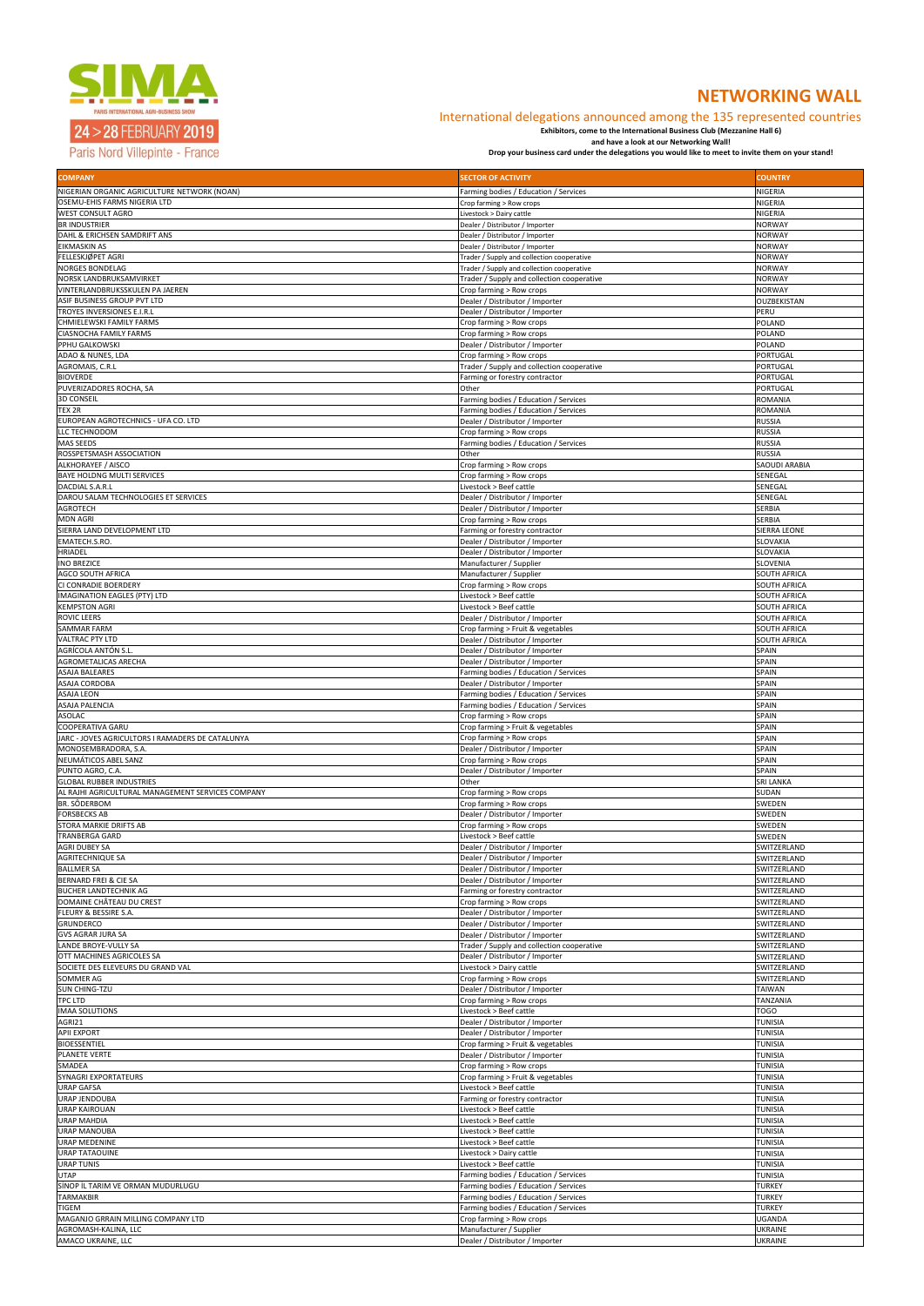

## 24 > 28 FEBRUARY 2019

Paris Nord Villepinte - France

# **NETWORKING WALL**

### International delegations announced among the 135 represented countries

**Exhibitors, come to the International Business Club (Mezzanine Hall 6)** 

**and have a look at our Networking Wall!** 

**Drop your business card under the delegations you would like to meet to invite them on your stand!**

| <b>COMPANY</b>                                                    | <b>SECTOR OF ACTIVITY</b>                                                      | <b>COUNTRY</b>                             |
|-------------------------------------------------------------------|--------------------------------------------------------------------------------|--------------------------------------------|
| NIGERIAN ORGANIC AGRICULTURE NETWORK (NOAN)                       | Farming bodies / Education / Services                                          | <b>NIGERIA</b>                             |
| <b>OSEMU-EHIS FARMS NIGERIA LTD</b><br><b>WEST CONSULT AGRO</b>   | Crop farming > Row crops<br>Livestock > Dairy cattle                           | NIGERIA<br>NIGERIA                         |
| <b>BR INDUSTRIER</b>                                              | Dealer / Distributor / Importer                                                | <b>NORWAY</b>                              |
| DAHL & ERICHSEN SAMDRIFT ANS                                      | Dealer / Distributor / Importer                                                | <b>NORWAY</b>                              |
| EIKMASKIN AS<br>FELLESKJØPET AGRI                                 | Dealer / Distributor / Importer<br>Trader / Supply and collection cooperative  | <b>NORWAY</b><br><b>NORWAY</b>             |
| <b>NORGES BONDELAG</b>                                            | Trader / Supply and collection cooperative                                     | <b>NORWAY</b>                              |
| NORSK LANDBRUKSAMVIRKET<br>VINTERLANDBRUKSSKULEN PA JAEREN        | Trader / Supply and collection cooperative<br>Crop farming > Row crops         | <b>NORWAY</b><br><b>NORWAY</b>             |
| ASIF BUSINESS GROUP PVT LTD                                       | Dealer / Distributor / Importer                                                | OUZBEKISTAN                                |
| TROYES INVERSIONES E.I.R.L                                        | Dealer / Distributor / Importer                                                | PERU                                       |
| CHMIELEWSKI FAMILY FARMS<br>CIASNOCHA FAMILY FARMS                | Crop farming > Row crops<br>Crop farming > Row crops                           | POLAND<br>POLAND                           |
| PPHU GALKOWSKI                                                    | Dealer / Distributor / Importer                                                | <b>POLAND</b>                              |
| ADAO & NUNES, LDA                                                 | Crop farming > Row crops                                                       | <b>PORTUGAL</b><br>PORTUGAL                |
| AGROMAIS, C.R.L<br><b>BIOVERDE</b>                                | Trader / Supply and collection cooperative<br>Farming or forestry contractor   | PORTUGAL                                   |
| PUVERIZADORES ROCHA, SA                                           | Other                                                                          | PORTUGAL                                   |
| <b>3D CONSEIL</b><br>TEX 2R                                       | Farming bodies / Education / Services<br>Farming bodies / Education / Services | <b>ROMANIA</b><br><b>ROMANIA</b>           |
| EUROPEAN AGROTECHNICS - UFA CO. LTD                               | Dealer / Distributor / Importer                                                | <b>RUSSIA</b>                              |
| LLC TECHNODOM<br>MAS SEEDS                                        | Crop farming > Row crops<br>Farming bodies / Education / Services              | RUSSIA<br><b>RUSSIA</b>                    |
| ROSSPETSMASH ASSOCIATION                                          | Other                                                                          | <b>RUSSIA</b>                              |
| ALKHORAYEF / AISCO                                                | Crop farming > Row crops                                                       | <b>SAOUDI ARABIA</b>                       |
| BAYE HOLDNG MULTI SERVICES<br>DACDIAL S.A.R.L                     | Crop farming > Row crops<br>Livestock > Beef cattle                            | SENEGAL<br>SENEGAL                         |
| DAROU SALAM TECHNOLOGIES ET SERVICES                              | Dealer / Distributor / Importer                                                | SENEGAL                                    |
| <b>AGROTECH</b>                                                   | Dealer / Distributor / Importer                                                | <b>SERBIA</b>                              |
| <b>MDN AGRI</b><br>SIERRA LAND DEVELOPMENT LTD                    | Crop farming > Row crops<br>Farming or forestry contractor                     | <b>SERBIA</b><br><b>SIERRA LEONE</b>       |
| EMATECH.S.RO.                                                     | Dealer / Distributor / Importer                                                | <b>SLOVAKIA</b>                            |
| <b>HRIADEL</b><br><b>INO BREZICE</b>                              | Dealer / Distributor / Importer<br>Manufacturer / Supplier                     | <b>SLOVAKIA</b><br><b>SLOVENIA</b>         |
| AGCO SOUTH AFRICA                                                 | Manufacturer / Supplier                                                        | <b>SOUTH AFRICA</b>                        |
| CI CONRADIE BOERDERY                                              | Crop farming > Row crops                                                       | <b>SOUTH AFRICA</b>                        |
| <b>IMAGINATION EAGLES (PTY) LTD</b><br><b>KEMPSTON AGRI</b>       | Livestock > Beef cattle<br>Livestock > Beef cattle                             | <b>SOUTH AFRICA</b><br><b>SOUTH AFRICA</b> |
| <b>ROVIC LEERS</b>                                                | Dealer / Distributor / Importer                                                | <b>SOUTH AFRICA</b>                        |
| <b>SAMMAR FARM</b>                                                | Crop farming > Fruit & vegetables<br>Dealer / Distributor / Importer           | <b>SOUTH AFRICA</b>                        |
| <b>VALTRAC PTY LTD</b><br>AGRÍCOLA ANTÓN S.L                      | Dealer / Distributor / Importer                                                | <b>SOUTH AFRICA</b><br><b>SPAIN</b>        |
| AGROMETALICAS ARECHA                                              | Dealer / Distributor / Importer                                                | <b>SPAIN</b>                               |
| ASAJA BALEARES<br>ASAJA CORDOBA                                   | Farming bodies / Education / Services<br>Dealer / Distributor / Importer       | <b>SPAIN</b><br><b>SPAIN</b>               |
| ASAJA LEON                                                        | Farming bodies / Education / Services                                          | <b>SPAIN</b>                               |
| ASAJA PALENCIA                                                    | Farming bodies / Education / Services                                          | SPAIN                                      |
| <b>ASOLAC</b><br>COOPERATIVA GARU                                 | Crop farming > Row crops<br>Crop farming > Fruit & vegetables                  | <b>SPAIN</b><br><b>SPAIN</b>               |
| JARC - JOVES AGRICULTORS I RAMADERS DE CATALUNYA                  | Crop farming > Row crops                                                       | <b>SPAIN</b>                               |
| MONOSEMBRADORA, S.A.<br>NEUMÁTICOS ABEL SANZ                      | Dealer / Distributor / Importer<br>Crop farming > Row crops                    | <b>SPAIN</b><br><b>SPAIN</b>               |
| PUNTO AGRO, C.A.                                                  | Dealer / Distributor / Importer                                                | SPAIN                                      |
| <b>GLOBAL RUBBER INDUSTRIES</b>                                   | Other                                                                          | <b>SRI LANKA</b>                           |
| AL RAJHI AGRICULTURAL MANAGEMENT SERVICES COMPANY<br>BR. SÔDERBOM | Crop farming > Row crops<br>Crop farming > Row crops                           | SUDAN<br>SWEDEN                            |
| <b>FORSBECKS AB</b>                                               | Dealer / Distributor / Importer                                                | SWEDEN                                     |
| STORA MARKIE DRIFTS AB<br><b>TRANBERGA GARD</b>                   | Crop farming > Row crops<br>Livestock > Beef cattle                            | SWEDEN<br>SWEDEN                           |
| <b>AGRI DUBEY SA</b>                                              | Dealer / Distributor / Importer                                                | SWITZERLAND                                |
| AGRITECHNIQUE SA                                                  | Dealer / Distributor / Importer                                                | SWITZERLAND                                |
| <b>BALLMER SA</b><br>BERNARD FREI & CIE SA                        | Dealer / Distributor / Importer<br>Dealer / Distributor / Importer             | SWITZERLAND<br>SWITZERLAND                 |
| BUCHER LANDTECHNIK AG                                             | Farming or forestry contractor                                                 | SWITZERLAND                                |
| DOMAINE CHÂTEAU DU CREST                                          | Crop farming > Row crops                                                       | SWITZERLAND                                |
| FLEURY & BESSIRE S.A.<br><b>GRUNDERCO</b>                         | Dealer / Distributor / Importer<br>Dealer / Distributor / Importer             | SWITZERLAND<br>SWITZERLAND                 |
| <b>GVS AGRAR JURA SA</b>                                          | Dealer / Distributor / Importer                                                | SWITZERLAND                                |
| LANDE BROYE-VULLY SA<br>OTT MACHINES AGRICOLES SA                 | Trader / Supply and collection cooperative<br>Dealer / Distributor / Importer  | SWITZERLAND<br>SWITZERLAND                 |
| SOCIETE DES ELEVEURS DU GRAND VAL                                 | Livestock > Dairy cattle                                                       | SWITZERLAND                                |
| SOMMER AG                                                         | Crop farming > Row crops                                                       | SWITZERLAND                                |
| <b>SUN CHING-TZU</b><br>TPC LTD                                   | Dealer / Distributor / Importer<br>Crop farming > Row crops                    | <b>TAIWAN</b><br><b>TANZANIA</b>           |
| <b>IMAA SOLUTIONS</b>                                             | Livestock > Beef cattle                                                        | <b>TOGO</b>                                |
| AGRI21<br><b>APII EXPORT</b>                                      | Dealer / Distributor / Importer<br>Dealer / Distributor / Importer             | <b>TUNISIA</b><br><b>TUNISIA</b>           |
| <b>BIOESSENTIEL</b>                                               | Crop farming > Fruit & vegetables                                              | <b>TUNISIA</b>                             |
| PLANETE VERTE                                                     | Dealer / Distributor / Importer                                                | <b>TUNISIA</b>                             |
| <b>SMADEA</b><br>SYNAGRI EXPORTATEURS                             | Crop farming > Row crops<br>Crop farming > Fruit & vegetables                  | <b>TUNISIA</b><br><b>TUNISIA</b>           |
| <b>URAP GAFSA</b>                                                 | Livestock > Beef cattle                                                        | <b>TUNISIA</b>                             |
| <b>URAP JENDOUBA</b><br><b>URAP KAIROUAN</b>                      | Farming or forestry contractor<br>Livestock > Beef cattle                      | <b>TUNISIA</b><br><b>TUNISIA</b>           |
| <b>URAP MAHDIA</b>                                                | Livestock > Beef cattle                                                        | <b>TUNISIA</b>                             |
| <b>URAP MANOUBA</b>                                               | Livestock > Beef cattle                                                        | <b>TUNISIA</b>                             |
| <b>URAP MEDENINE</b><br><b>URAP TATAOUINE</b>                     | Livestock > Beef cattle<br>Livestock > Dairy cattle                            | <b>TUNISIA</b><br><b>TUNISIA</b>           |
| <b>URAP TUNIS</b>                                                 | Livestock > Beef cattle                                                        | <b>TUNISIA</b>                             |
| <b>UTAP</b><br>SINOP IL TARIM VE ORMAN MUDURLUGU                  | Farming bodies / Education / Services                                          | <b>TUNISIA</b>                             |
| <b>TARMAKBIR</b>                                                  | Farming bodies / Education / Services<br>Farming bodies / Education / Services | <b>TURKEY</b><br><b>TURKEY</b>             |
| <b>TIGEM</b>                                                      | Farming bodies / Education / Services                                          | <b>TURKEY</b>                              |
| MAGANJO GRRAIN MILLING COMPANY LTD<br>AGROMASH-KALINA, LLC        | Crop farming > Row crops<br>Manufacturer / Supplier                            | <b>UGANDA</b><br><b>UKRAINE</b>            |
| AMACO UKRAINE, LLC                                                | Dealer / Distributor / Importer                                                | <b>UKRAINE</b>                             |